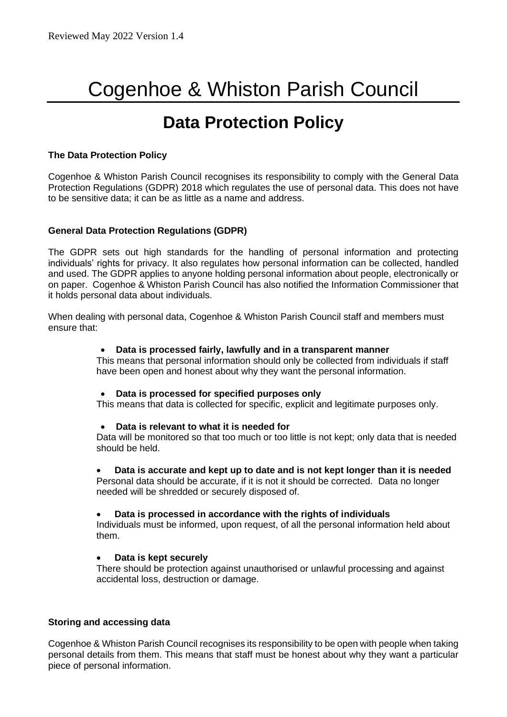# Cogenhoe & Whiston Parish Council

# **Data Protection Policy**

## **The Data Protection Policy**

Cogenhoe & Whiston Parish Council recognises its responsibility to comply with the General Data Protection Regulations (GDPR) 2018 which regulates the use of personal data. This does not have to be sensitive data; it can be as little as a name and address.

## **General Data Protection Regulations (GDPR)**

The GDPR sets out high standards for the handling of personal information and protecting individuals' rights for privacy. It also regulates how personal information can be collected, handled and used. The GDPR applies to anyone holding personal information about people, electronically or on paper. Cogenhoe & Whiston Parish Council has also notified the Information Commissioner that it holds personal data about individuals.

When dealing with personal data, Cogenhoe & Whiston Parish Council staff and members must ensure that:

#### • **Data is processed fairly, lawfully and in a transparent manner**

This means that personal information should only be collected from individuals if staff have been open and honest about why they want the personal information.

#### • **Data is processed for specified purposes only**

This means that data is collected for specific, explicit and legitimate purposes only.

#### • **Data is relevant to what it is needed for**

Data will be monitored so that too much or too little is not kept; only data that is needed should be held.

#### • **Data is accurate and kept up to date and is not kept longer than it is needed** Personal data should be accurate, if it is not it should be corrected. Data no longer

needed will be shredded or securely disposed of.

#### • **Data is processed in accordance with the rights of individuals**

Individuals must be informed, upon request, of all the personal information held about them.

#### • **Data is kept securely**

There should be protection against unauthorised or unlawful processing and against accidental loss, destruction or damage.

#### **Storing and accessing data**

Cogenhoe & Whiston Parish Council recognises its responsibility to be open with people when taking personal details from them. This means that staff must be honest about why they want a particular piece of personal information.